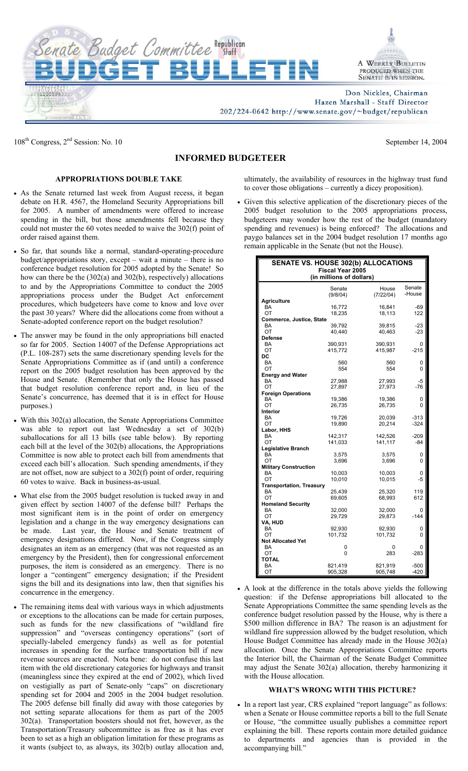

108<sup>th</sup> Congress, 2<sup>nd</sup> Session: No. 10 September 14, 2004

## **INFORMED BUDGETEER**

## **APPROPRIATIONS DOUBLE TAKE**

- As the Senate returned last week from August recess, it began debate on H.R. 4567, the Homeland Security Appropriations bill for 2005. A number of amendments were offered to increase spending in the bill, but those amendments fell because they could not muster the 60 votes needed to waive the 302(f) point of order raised against them.
- So far, that sounds like a normal, standard-operating-procedure budget/appropriations story, except – wait a minute – there is no conference budget resolution for 2005 adopted by the Senate! So how can there be the (302(a) and 302(b), respectively) allocations to and by the Appropriations Committee to conduct the 2005 appropriations process under the Budget Act enforcement procedures, which budgeteers have come to know and love over the past 30 years? Where did the allocations come from without a Senate-adopted conference report on the budget resolution?
- The answer may be found in the only appropriations bill enacted so far for 2005. Section 14007 of the Defense Appropriations act (P.L. 108-287) sets the same discretionary spending levels for the Senate Appropriations Committee as if (and until) a conference report on the 2005 budget resolution has been approved by the House and Senate. (Remember that only the House has passed that budget resolution conference report and, in lieu of the Senate's concurrence, has deemed that it is in effect for House purposes.)
- With this 302(a) allocation, the Senate Appropriations Committee was able to report out last Wednesday a set of 302(b) suballocations for all 13 bills (see table below). By reporting each bill at the level of the 302(b) allocations, the Appropriations Committee is now able to protect each bill from amendments that exceed each bill's allocation. Such spending amendments, if they are not offset, now are subject to a 302(f) point of order, requiring 60 votes to waive. Back in business-as-usual.
- What else from the 2005 budget resolution is tucked away in and given effect by section 14007 of the defense bill? Perhaps the most significant item is in the point of order on emergency legislation and a change in the way emergency designations can be made. Last year, the House and Senate treatment of emergency designations differed. Now, if the Congress simply designates an item as an emergency (that was not requested as an emergency by the President), then for congressional enforcement purposes, the item is considered as an emergency. There is no longer a "contingent" emergency designation; if the President signs the bill and its designations into law, then that signifies his concurrence in the emergency.
- The remaining items deal with various ways in which adjustments or exceptions to the allocations can be made for certain purposes, such as funds for the new classifications of "wildland fire suppression" and "overseas contingency operations" (sort of specially-labeled emergency funds) as well as for potential increases in spending for the surface transportation bill if new revenue sources are enacted. Nota bene: do not confuse this last item with the old discretionary categories for highways and transit (meaningless since they expired at the end of 2002), which lived on vestigially as part of Senate-only "caps" on discretionary spending set for 2004 and 2005 in the 2004 budget resolution. The 2005 defense bill finally did away with those categories by not setting separate allocations for them as part of the 2005 302(a). Transportation boosters should not fret, however, as the Transportation/Treasury subcommittee is as free as it has ever been to set as a high an obligation limitation for these programs as it wants (subject to, as always, its 302(b) outlay allocation and,

ultimately, the availability of resources in the highway trust fund to cover those obligations – currently a dicey proposition).

• Given this selective application of the discretionary pieces of the 2005 budget resolution to the 2005 appropriations process, budgeteers may wonder how the rest of the budget (mandatory spending and revenues) is being enforced? The allocations and paygo balances set in the 2004 budget resolution 17 months ago remain applicable in the Senate (but not the House).

| <b>SENATE VS. HOUSE 302(b) ALLOCATIONS</b><br><b>Fiscal Year 2005</b><br>(in millions of dollars) |          |           |        |
|---------------------------------------------------------------------------------------------------|----------|-----------|--------|
|                                                                                                   | Senate   | House     | Senate |
|                                                                                                   | (9/8/04) | (7/22/04) | -House |
| <b>Agriculture</b>                                                                                |          |           |        |
| BA                                                                                                | 16,772   | 16,841    | $-69$  |
| OT<br>Commerce, Justice, State                                                                    | 18,235   | 18,113    | 122    |
| BA                                                                                                | 39,792   | 39,815    | $-23$  |
| OT                                                                                                | 40,440   | 40,463    | $-23$  |
| <b>Defense</b>                                                                                    |          |           |        |
| BA                                                                                                | 390,931  | 390,931   | 0      |
| OT                                                                                                | 415,772  | 415,987   | $-215$ |
| DC                                                                                                |          |           |        |
| <b>BA</b>                                                                                         | 560      | 560       | 0      |
| ОT                                                                                                | 554      | 554       | 0      |
| <b>Energy and Water</b>                                                                           |          |           |        |
| BA                                                                                                | 27,988   | 27,993    | -5     |
| OT                                                                                                | 27,897   | 27,973    | -76    |
| <b>Foreign Operations</b>                                                                         |          |           |        |
| BA                                                                                                | 19,386   | 19,386    | 0      |
| OT                                                                                                | 26,735   | 26,735    | 0      |
| Interior                                                                                          |          |           |        |
| BA                                                                                                | 19,726   | 20,039    | $-313$ |
| ОT                                                                                                | 19,890   | 20,214    | $-324$ |
| Labor, HHS<br>BA                                                                                  | 142,317  | 142,526   | $-209$ |
| ОT                                                                                                | 141,033  | 141,117   | -84    |
| <b>Legislative Branch</b>                                                                         |          |           |        |
| BA                                                                                                | 3,575    | 3,575     | 0      |
| ОT                                                                                                | 3,696    | 3,696     | 0      |
| <b>Military Construction</b>                                                                      |          |           |        |
| BA                                                                                                | 10,003   | 10,003    | 0      |
| ОT                                                                                                | 10,010   | 10,015    | -5     |
| <b>Transportation, Treasury</b>                                                                   |          |           |        |
| BA                                                                                                | 25,439   | 25,320    | 119    |
| OT                                                                                                | 69,605   | 68,993    | 612    |
| <b>Homeland Security</b>                                                                          |          |           |        |
| <b>BA</b>                                                                                         | 32,000   | 32,000    | 0      |
| OT                                                                                                | 29,729   | 29,873    | $-144$ |
| VA, HUD                                                                                           |          |           |        |
| BA                                                                                                | 92,930   | 92,930    | 0      |
| ОT                                                                                                | 101,732  | 101,732   | 0      |
| <b>Not Allocated Yet</b>                                                                          |          |           |        |
| <b>BA</b>                                                                                         | 0<br>0   | 0         | 0      |
| OT<br><b>TOTAL</b>                                                                                |          | 283       | $-283$ |
| <b>BA</b>                                                                                         | 821,419  | 821,919   | $-500$ |
| ОT                                                                                                | 905,328  | 905,748   | $-420$ |

• A look at the difference in the totals above yields the following question: if the Defense appropriations bill allocated to the Senate Appropriations Committee the same spending levels as the conference budget resolution passed by the House, why is there a \$500 million difference in BA? The reason is an adjustment for wildland fire suppression allowed by the budget resolution, which House Budget Committee has already made in the House 302(a) allocation. Once the Senate Appropriations Committee reports the Interior bill, the Chairman of the Senate Budget Committee may adjust the Senate 302(a) allocation, thereby harmonizing it with the House allocation.

## **WHAT'S WRONG WITH THIS PICTURE?**

• In a report last year, CRS explained "report language" as follows: when a Senate or House committee reports a bill to the full Senate or House, "the committee usually publishes a committee report explaining the bill. These reports contain more detailed guidance to departments and agencies than is provided in the accompanying bill."